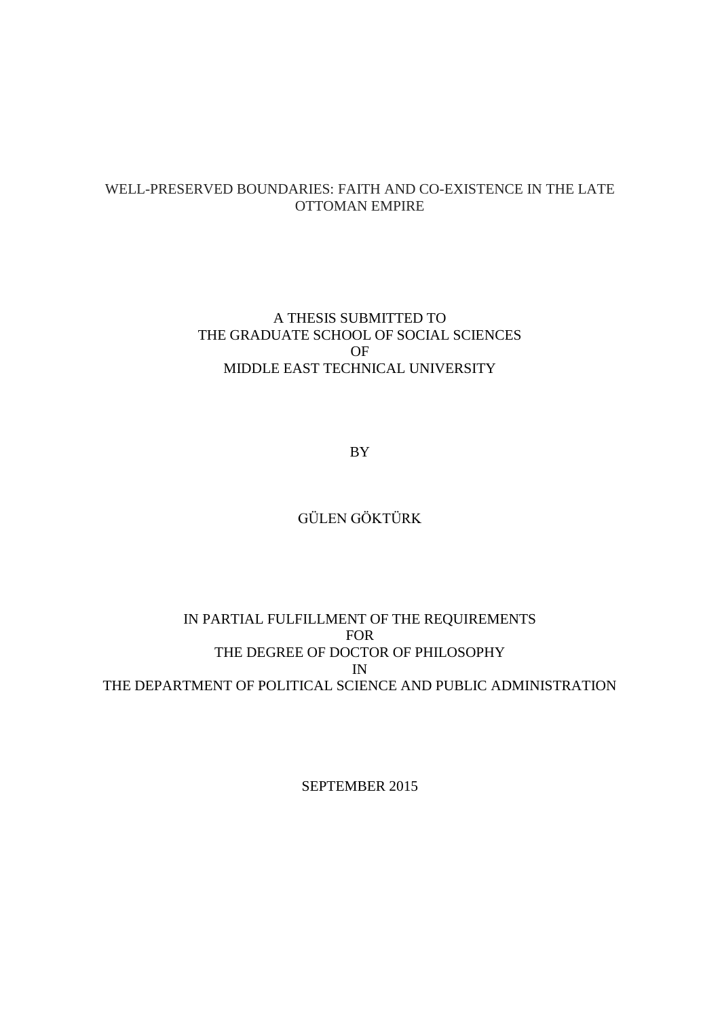## WELL-PRESERVED BOUNDARIES: FAITH AND CO-EXISTENCE IN THE LATE OTTOMAN EMPIRE

A THESIS SUBMITTED TO THE GRADUATE SCHOOL OF SOCIAL SCIENCES OF MIDDLE EAST TECHNICAL UNIVERSITY

BY

## GÜLEN GÖKTÜRK

## IN PARTIAL FULFILLMENT OF THE REQUIREMENTS FOR THE DEGREE OF DOCTOR OF PHILOSOPHY IN THE DEPARTMENT OF POLITICAL SCIENCE AND PUBLIC ADMINISTRATION

SEPTEMBER 2015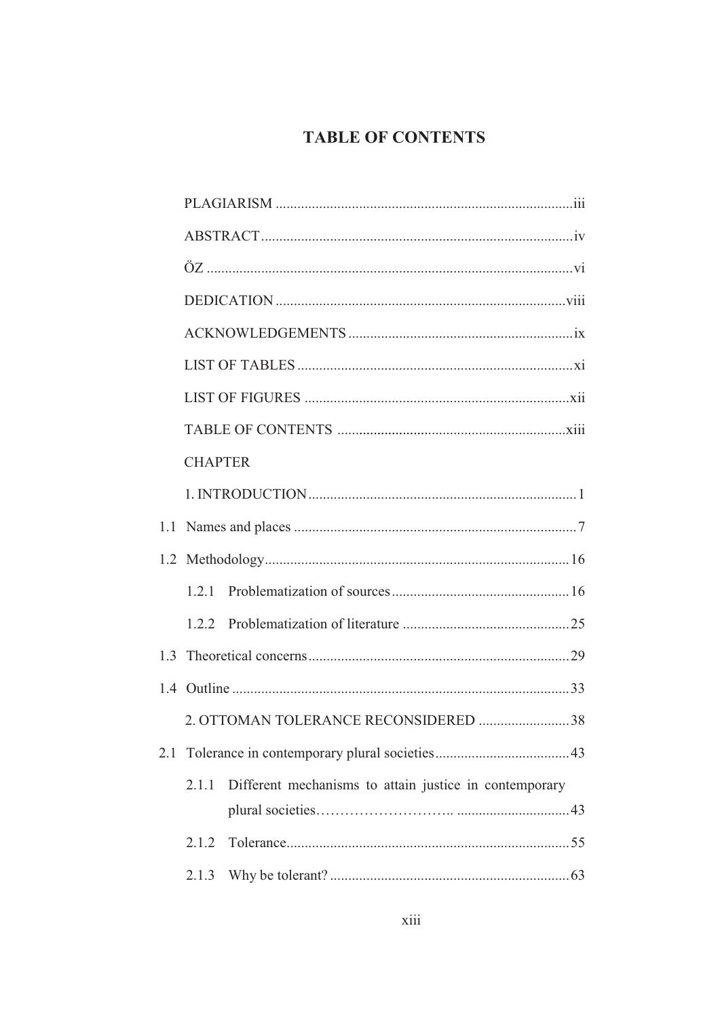## **TABLE OF CONTENTS**

|     | <b>CHAPTER</b>                                                  |  |
|-----|-----------------------------------------------------------------|--|
|     |                                                                 |  |
| 1.1 |                                                                 |  |
|     |                                                                 |  |
|     | 1.2.1                                                           |  |
|     | 1.2.2                                                           |  |
|     |                                                                 |  |
|     |                                                                 |  |
|     | 2. OTTOMAN TOLERANCE RECONSIDERED 38                            |  |
|     |                                                                 |  |
|     | Different mechanisms to attain justice in contemporary<br>2.1.1 |  |
|     |                                                                 |  |
|     | 2.1.2                                                           |  |
|     | 2.1.3                                                           |  |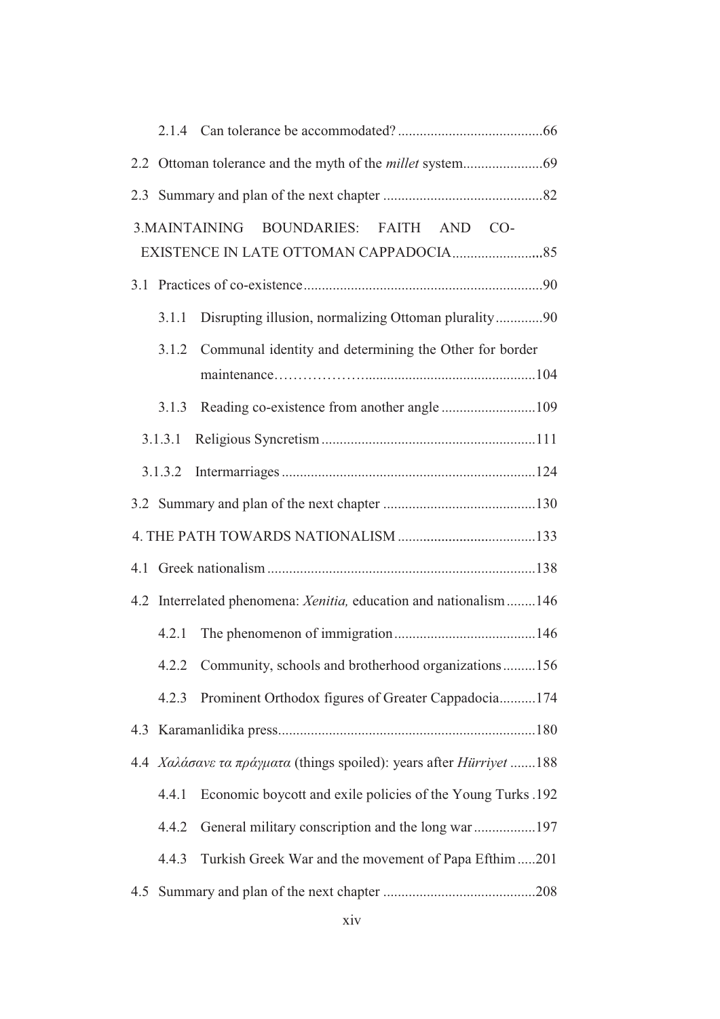|  |         | 3. MAINTAINING<br>BOUNDARIES: FAITH AND CO-                         |  |
|--|---------|---------------------------------------------------------------------|--|
|  |         |                                                                     |  |
|  | 3.1.1   | Disrupting illusion, normalizing Ottoman plurality90                |  |
|  |         | 3.1.2 Communal identity and determining the Other for border        |  |
|  | 3.1.3   |                                                                     |  |
|  | 3.1.3.1 |                                                                     |  |
|  | 3.1.3.2 |                                                                     |  |
|  |         |                                                                     |  |
|  |         |                                                                     |  |
|  |         |                                                                     |  |
|  |         | 4.2 Interrelated phenomena: Xenitia, education and nationalism  146 |  |
|  | 4.2.1   |                                                                     |  |
|  |         | 4.2.2 Community, schools and brotherhood organizations156           |  |
|  | 4.2.3   | Prominent Orthodox figures of Greater Cappadocia174                 |  |
|  |         |                                                                     |  |
|  |         | 4.4 Χαλάσανε τα πράγματα (things spoiled): years after Hürriyet 188 |  |
|  | 4.4.1   | Economic boycott and exile policies of the Young Turks .192         |  |
|  | 4.4.2   | General military conscription and the long war197                   |  |
|  | 4.4.3   | Turkish Greek War and the movement of Papa Efthim 201               |  |
|  |         |                                                                     |  |